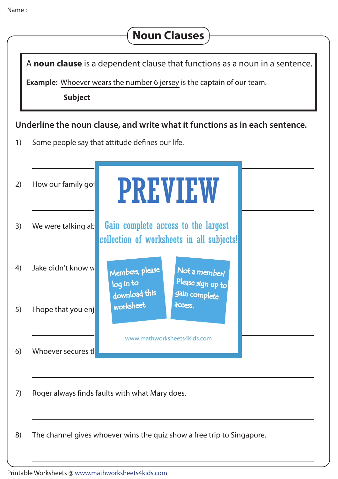